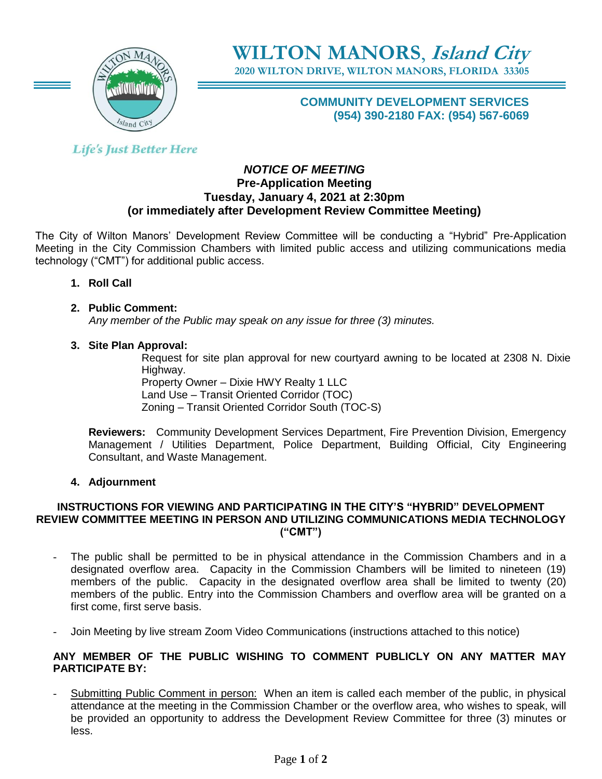

**WILTON MANORS**, **Island City 2020 WILTON DRIVE, WILTON MANORS, FLORIDA 33305**

# **COMMUNITY DEVELOPMENT SERVICES (954) 390-2180 FAX: (954) 567-6069**

# **Life's Just Better Here**

#### *NOTICE OF MEETING* **Pre-Application Meeting Tuesday, January 4, 2021 at 2:30pm (or immediately after Development Review Committee Meeting)**

The City of Wilton Manors' Development Review Committee will be conducting a "Hybrid" Pre-Application Meeting in the City Commission Chambers with limited public access and utilizing communications media technology ("CMT") for additional public access.

**1. Roll Call**

# **2. Public Comment:**

 *Any member of the Public may speak on any issue for three (3) minutes.*

# **3. Site Plan Approval:**

Request for site plan approval for new courtyard awning to be located at 2308 N. Dixie Highway.

Property Owner – Dixie HWY Realty 1 LLC Land Use – Transit Oriented Corridor (TOC) Zoning – Transit Oriented Corridor South (TOC-S)

**Reviewers:** Community Development Services Department, Fire Prevention Division, Emergency Management / Utilities Department, Police Department, Building Official, City Engineering Consultant, and Waste Management.

# **4. Adjournment**

#### **INSTRUCTIONS FOR VIEWING AND PARTICIPATING IN THE CITY'S "HYBRID" DEVELOPMENT REVIEW COMMITTEE MEETING IN PERSON AND UTILIZING COMMUNICATIONS MEDIA TECHNOLOGY ("CMT")**

- The public shall be permitted to be in physical attendance in the Commission Chambers and in a designated overflow area. Capacity in the Commission Chambers will be limited to nineteen (19) members of the public. Capacity in the designated overflow area shall be limited to twenty (20) members of the public. Entry into the Commission Chambers and overflow area will be granted on a first come, first serve basis.
- Join Meeting by live stream Zoom Video Communications (instructions attached to this notice)

#### **ANY MEMBER OF THE PUBLIC WISHING TO COMMENT PUBLICLY ON ANY MATTER MAY PARTICIPATE BY:**

Submitting Public Comment in person: When an item is called each member of the public, in physical attendance at the meeting in the Commission Chamber or the overflow area, who wishes to speak, will be provided an opportunity to address the Development Review Committee for three (3) minutes or less.